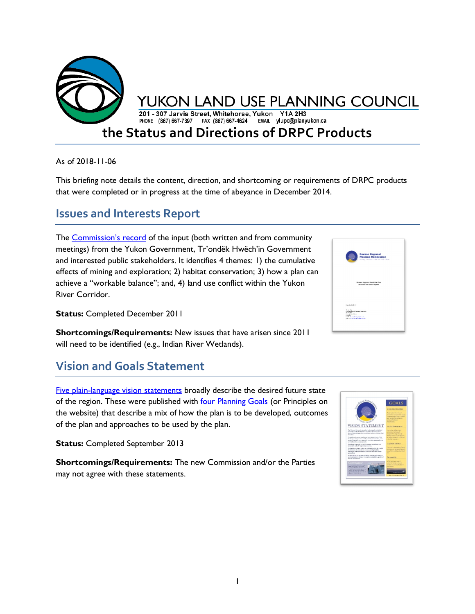

As of 2018-11-06

This briefing note details the content, direction, and shortcoming or requirements of DRPC products that were completed or in progress at the time of abeyance in December 2014.

### **Issues and Interests Report**

The **Commission's record** of the input (both written and from community meetings) from the Yukon Government, Tr'ondëk Hwëch'in Government and interested public stakeholders. It identifies 4 themes: 1) the cumulative effects of mining and exploration; 2) habitat conservation; 3) how a plan can achieve a "workable balance"; and, 4) land use conflict within the Yukon River Corridor.



**Status: Completed December 2011** 

**Shortcomings/Requirements:** New issues that have arisen since 2011 will need to be identified (e.g., Indian River Wetlands).

# **Vision and Goals Statement**

[Five plain-language vision statements](http://dawson.planyukon.ca/index.php/the-commission/vision-statement) broadly describe the desired future state of the region. These were published with [four Planning Goals](http://dawson.planyukon.ca/index.php/the-commission/planning-principles) (or Principles on the website) that describe a mix of how the plan is to be developed, outcomes of the plan and approaches to be used by the plan.

**Status:** Completed September 2013

**Shortcomings/Requirements:** The new Commission and/or the Parties may not agree with these statements.

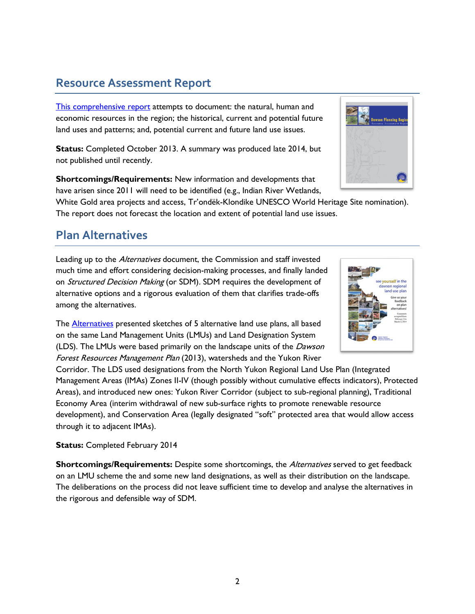## **Resource Assessment Report**

[This comprehensive report](http://dawson.planyukon.ca/index.php/publications/resource-assessment-report) attempts to document: the natural, human and economic resources in the region; the historical, current and potential future land uses and patterns; and, potential current and future land use issues.

**Status:** Completed October 2013. A summary was produced late 2014, but not published until recently.

**Shortcomings/Requirements:** New information and developments that have arisen since 2011 will need to be identified (e.g., Indian River Wetlands,

White Gold area projects and access, Tr'ondëk-Klondike UNESCO World Heritage Site nomination). The report does not forecast the location and extent of potential land use issues.

### **Plan Alternatives**

Leading up to the *Alternatives* document, the Commission and staff invested much time and effort considering decision-making processes, and finally landed on *Structured Decision Making* (or SDM). SDM requires the development of alternative options and a rigorous evaluation of them that clarifies trade-offs among the alternatives.

The **Alternatives** presented sketches of 5 alternative land use plans, all based on the same Land Management Units (LMUs) and Land Designation System (LDS). The LMUs were based primarily on the landscape units of the Dawson Forest Resources Management Plan (2013), watersheds and the Yukon River

Corridor. The LDS used designations from the North Yukon Regional Land Use Plan (Integrated Management Areas (IMAs) Zones II-IV (though possibly without cumulative effects indicators), Protected Areas), and introduced new ones: Yukon River Corridor (subject to sub-regional planning), Traditional Economy Area (interim withdrawal of new sub-surface rights to promote renewable resource development), and Conservation Area (legally designated "soft" protected area that would allow access through it to adjacent IMAs).

#### **Status:** Completed February 2014

**Shortcomings/Requirements:** Despite some shortcomings, the *Alternatives* served to get feedback on an LMU scheme the and some new land designations, as well as their distribution on the landscape. The deliberations on the process did not leave sufficient time to develop and analyse the alternatives in the rigorous and defensible way of SDM.



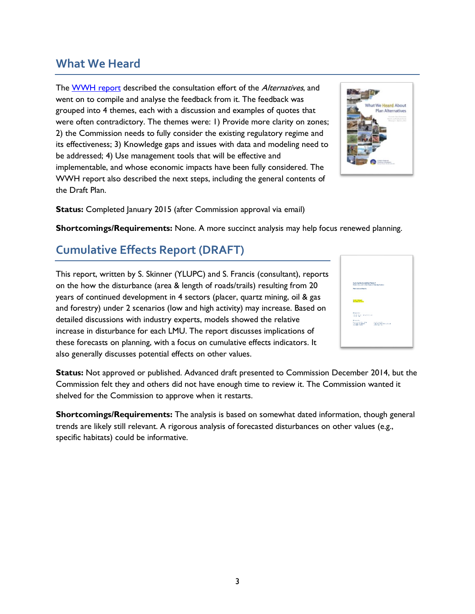## **What We Heard**

The [WWH report](http://dawson.planyukon.ca/index.php/publications/plan-alternatives-package/176-what-we-heard-about-plan-alternatives) described the consultation effort of the *Alternatives*, and went on to compile and analyse the feedback from it. The feedback was grouped into 4 themes, each with a discussion and examples of quotes that were often contradictory. The themes were: 1) Provide more clarity on zones; 2) the Commission needs to fully consider the existing regulatory regime and its effectiveness; 3) Knowledge gaps and issues with data and modeling need to be addressed; 4) Use management tools that will be effective and implementable, and whose economic impacts have been fully considered. The WWH report also described the next steps, including the general contents of the Draft Plan.



**Status:** Completed January 2015 (after Commission approval via email)

**Shortcomings/Requirements:** None. A more succinct analysis may help focus renewed planning.

## **Cumulative Effects Report (DRAFT)**

This report, written by S. Skinner (YLUPC) and S. Francis (consultant), reports on the how the disturbance (area & length of roads/trails) resulting from 20 years of continued development in 4 sectors (placer, quartz mining, oil & gas and forestry) under 2 scenarios (low and high activity) may increase. Based on detailed discussions with industry experts, models showed the relative increase in disturbance for each LMU. The report discusses implications of these forecasts on planning, with a focus on cumulative effects indicators. It also generally discusses potential effects on other values.



**Status:** Not approved or published. Advanced draft presented to Commission December 2014, but the Commission felt they and others did not have enough time to review it. The Commission wanted it shelved for the Commission to approve when it restarts.

**Shortcomings/Requirements:** The analysis is based on somewhat dated information, though general trends are likely still relevant. A rigorous analysis of forecasted disturbances on other values (e.g., specific habitats) could be informative.